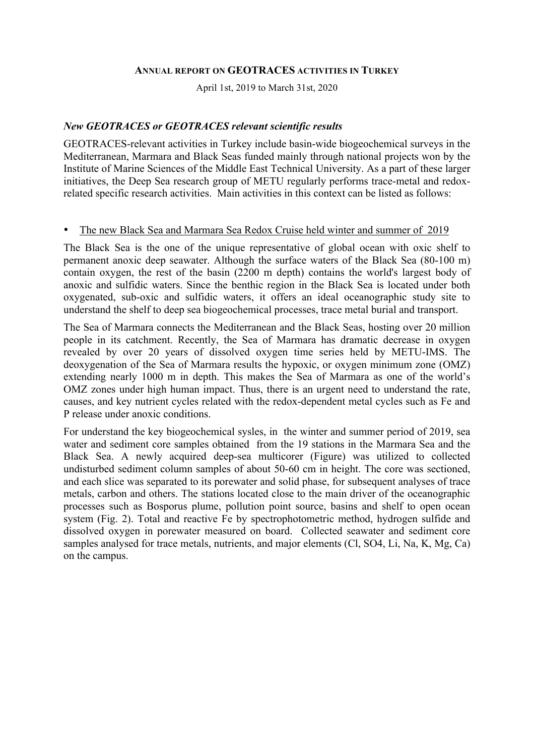#### **ANNUAL REPORT ON GEOTRACES ACTIVITIES IN TURKEY**

April 1st, 2019 to March 31st, 2020

### *New GEOTRACES or GEOTRACES relevant scientific results*

GEOTRACES-relevant activities in Turkey include basin-wide biogeochemical surveys in the Mediterranean, Marmara and Black Seas funded mainly through national projects won by the Institute of Marine Sciences of the Middle East Technical University. As a part of these larger initiatives, the Deep Sea research group of METU regularly performs trace-metal and redoxrelated specific research activities. Main activities in this context can be listed as follows:

#### • The new Black Sea and Marmara Sea Redox Cruise held winter and summer of 2019

The Black Sea is the one of the unique representative of global ocean with oxic shelf to permanent anoxic deep seawater. Although the surface waters of the Black Sea (80-100 m) contain oxygen, the rest of the basin (2200 m depth) contains the world's largest body of anoxic and sulfidic waters. Since the benthic region in the Black Sea is located under both oxygenated, sub-oxic and sulfidic waters, it offers an ideal oceanographic study site to understand the shelf to deep sea biogeochemical processes, trace metal burial and transport.

The Sea of Marmara connects the Mediterranean and the Black Seas, hosting over 20 million people in its catchment. Recently, the Sea of Marmara has dramatic decrease in oxygen revealed by over 20 years of dissolved oxygen time series held by METU-IMS. The deoxygenation of the Sea of Marmara results the hypoxic, or oxygen minimum zone (OMZ) extending nearly 1000 m in depth. This makes the Sea of Marmara as one of the world's OMZ zones under high human impact. Thus, there is an urgent need to understand the rate, causes, and key nutrient cycles related with the redox-dependent metal cycles such as Fe and P release under anoxic conditions.

For understand the key biogeochemical sysles, in the winter and summer period of 2019, sea water and sediment core samples obtained from the 19 stations in the Marmara Sea and the Black Sea. A newly acquired deep-sea multicorer (Figure) was utilized to collected undisturbed sediment column samples of about 50-60 cm in height. The core was sectioned, and each slice was separated to its porewater and solid phase, for subsequent analyses of trace metals, carbon and others. The stations located close to the main driver of the oceanographic processes such as Bosporus plume, pollution point source, basins and shelf to open ocean system (Fig. 2). Total and reactive Fe by spectrophotometric method, hydrogen sulfide and dissolved oxygen in porewater measured on board. Collected seawater and sediment core samples analysed for trace metals, nutrients, and major elements (Cl, SO4, Li, Na, K, Mg, Ca) on the campus.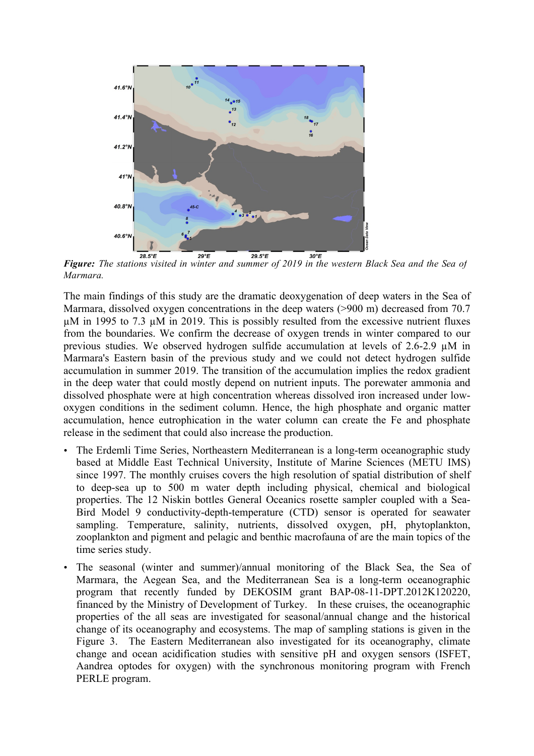

*Figure: The stations visited in winter and summer of 2019 in the western Black Sea and the Sea of Marmara.*

The main findings of this study are the dramatic deoxygenation of deep waters in the Sea of Marmara, dissolved oxygen concentrations in the deep waters (>900 m) decreased from 70.7 µM in 1995 to 7.3 µM in 2019. This is possibly resulted from the excessive nutrient fluxes from the boundaries. We confirm the decrease of oxygen trends in winter compared to our previous studies. We observed hydrogen sulfide accumulation at levels of 2.6-2.9 µM in Marmara's Eastern basin of the previous study and we could not detect hydrogen sulfide accumulation in summer 2019. The transition of the accumulation implies the redox gradient in the deep water that could mostly depend on nutrient inputs. The porewater ammonia and dissolved phosphate were at high concentration whereas dissolved iron increased under lowoxygen conditions in the sediment column. Hence, the high phosphate and organic matter accumulation, hence eutrophication in the water column can create the Fe and phosphate release in the sediment that could also increase the production.

- The Erdemli Time Series, Northeastern Mediterranean is a long-term oceanographic study based at Middle East Technical University, Institute of Marine Sciences (METU IMS) since 1997. The monthly cruises covers the high resolution of spatial distribution of shelf to deep-sea up to 500 m water depth including physical, chemical and biological properties. The 12 Niskin bottles General Oceanics rosette sampler coupled with a Sea-Bird Model 9 conductivity-depth-temperature (CTD) sensor is operated for seawater sampling. Temperature, salinity, nutrients, dissolved oxygen, pH, phytoplankton, zooplankton and pigment and pelagic and benthic macrofauna of are the main topics of the time series study.
- The seasonal (winter and summer)/annual monitoring of the Black Sea, the Sea of Marmara, the Aegean Sea, and the Mediterranean Sea is a long-term oceanographic program that recently funded by DEKOSIM grant BAP-08-11-DPT.2012K120220, financed by the Ministry of Development of Turkey. In these cruises, the oceanographic properties of the all seas are investigated for seasonal/annual change and the historical change of its oceanography and ecosystems. The map of sampling stations is given in the Figure 3. The Eastern Mediterranean also investigated for its oceanography, climate change and ocean acidification studies with sensitive pH and oxygen sensors (ISFET, Aandrea optodes for oxygen) with the synchronous monitoring program with French PERLE program.